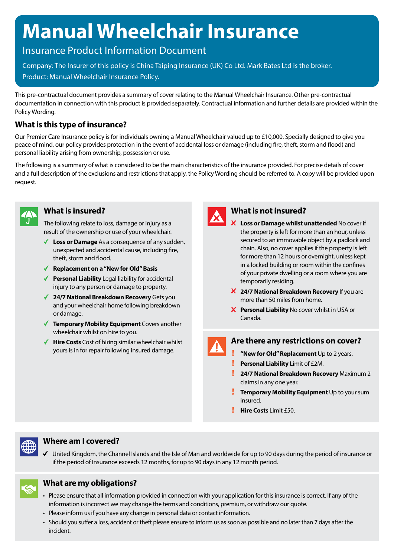# **Manual Wheelchair Insurance**

# Insurance Product Information Document

Company: The Insurer of this policy is China Taiping Insurance (UK) Co Ltd. Mark Bates Ltd is the broker. Product: Manual Wheelchair Insurance Policy.

This pre-contractual document provides a summary of cover relating to the Manual Wheelchair Insurance. Other pre-contractual documentation in connection with this product is provided separately. Contractual information and further details are provided within the Policy Wording.

# **What is this type of insurance?**

Our Premier Care Insurance policy is for individuals owning a Manual Wheelchair valued up to £10,000. Specially designed to give you peace of mind, our policy provides protection in the event of accidental loss or damage (including fire, theft, storm and flood) and personal liability arising from ownership, possession or use.

The following is a summary of what is considered to be the main characteristics of the insurance provided. For precise details of cover and a full description of the exclusions and restrictions that apply, the Policy Wording should be referred to. A copy will be provided upon request.



#### **What is insured?**

The following relate to loss, damage or injury as a result of the ownership or use of your wheelchair.

- **Loss or Damage** As a consequence of any sudden, unexpected and accidental cause, including fire, theft, storm and flood.
- **Replacement on a "New for Old" Basis**
- ◆ **Personal Liability** Legal liability for accidental injury to any person or damage to property.
- **24/7 National Breakdown Recovery** Gets you and your wheelchair home following breakdown or damage.
- ◆ **Temporary Mobility Equipment** Covers another wheelchair whilst on hire to you.
- ◆ **Hire Costs** Cost of hiring similar wheelchair whilst yours is in for repair following insured damage.



### **What is not insured?**

- **Loss or Damage whilst unattended** No cover if the property is left for more than an hour, unless secured to an immovable object by a padlock and chain. Also, no cover applies if the property is left for more than 12 hours or overnight, unless kept in a locked building or room within the confines of your private dwelling or a room where you are temporarily residing.
- **24/7 National Breakdown Recovery** If you are more than 50 miles from home.
- **Personal Liability** No cover whilst in USA or Canada.

# **Are there any restrictions on cover?**

- **"New for Old" Replacement** Up to 2 years.  $\mathbf{r}$ **Personal Liability** Limit of £2M.
- **24/7 National Breakdown Recovery** Maximum 2 claims in any one year.
- **Temporary Mobility Equipment** Up to your sum insured.
- **Hire Costs Limit £50.**



#### **Where am I covered?**

United Kingdom, the Channel Islands and the Isle of Man and worldwide for up to 90 days during the period of insurance or if the period of Insurance exceeds 12 months, for up to 90 days in any 12 month period.



# **What are my obligations?**

- Please ensure that all information provided in connection with your application for this insurance is correct. If any of the information is incorrect we may change the terms and conditions, premium, or withdraw our quote.
- Please inform us if you have any change in personal data or contact information.
- Should you suffer a loss, accident or theft please ensure to inform us as soon as possible and no later than 7 days after the incident.